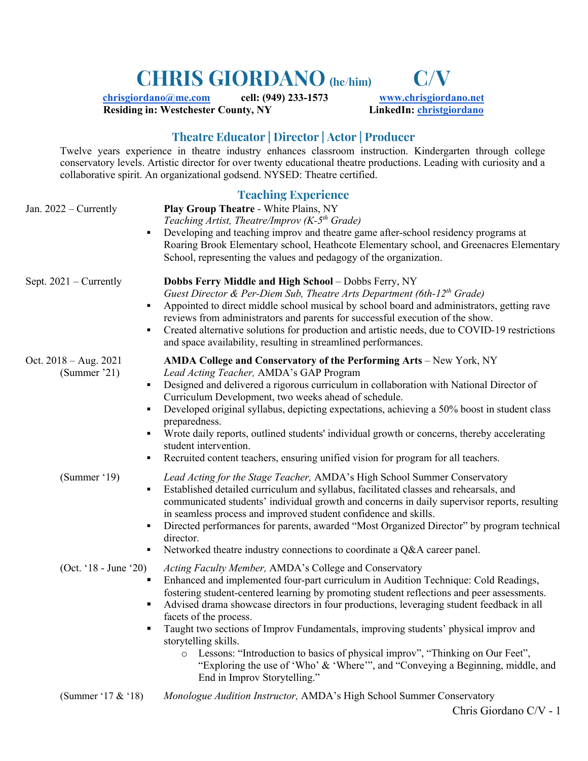# **CHRIS GIORDANO (he/him) C/V**

**chrisgiordano@me.com cell: (949) 233-1573 www.chrisgiordano.net**<br> **Residing in: Westchester County, NY** *LinkedIn: christgiordano* **Residing in: Westchester County, NY** 

# **Theatre Educator | Director | Actor | Producer**

Twelve years experience in theatre industry enhances classroom instruction. Kindergarten through college conservatory levels. Artistic director for over twenty educational theatre productions. Leading with curiosity and a collaborative spirit. An organizational godsend. NYSED: Theatre certified.

| Jan. 2022 – Currently                                                            | <b>Teaching Experience</b><br>Play Group Theatre - White Plains, NY<br>Teaching Artist, Theatre/Improv (K-5 <sup>th</sup> Grade)<br>Developing and teaching improv and theatre game after-school residency programs at<br>Roaring Brook Elementary school, Heathcote Elementary school, and Greenacres Elementary<br>School, representing the values and pedagogy of the organization.                                                                                                                                                                                                                                                                                                          |
|----------------------------------------------------------------------------------|-------------------------------------------------------------------------------------------------------------------------------------------------------------------------------------------------------------------------------------------------------------------------------------------------------------------------------------------------------------------------------------------------------------------------------------------------------------------------------------------------------------------------------------------------------------------------------------------------------------------------------------------------------------------------------------------------|
| Sept. $2021$ – Currently<br>$\blacksquare$                                       | Dobbs Ferry Middle and High School - Dobbs Ferry, NY<br>Guest Director & Per-Diem Sub, Theatre Arts Department (6th- $12^{th}$ Grade)<br>Appointed to direct middle school musical by school board and administrators, getting rave<br>reviews from administrators and parents for successful execution of the show.<br>Created alternative solutions for production and artistic needs, due to COVID-19 restrictions<br>and space availability, resulting in streamlined performances.                                                                                                                                                                                                         |
| Oct. $2018 - Aug. 2021$<br>(Summer '21)<br>$\blacksquare$<br>$\blacksquare$<br>٠ | AMDA College and Conservatory of the Performing Arts - New York, NY<br>Lead Acting Teacher, AMDA's GAP Program<br>Designed and delivered a rigorous curriculum in collaboration with National Director of<br>Curriculum Development, two weeks ahead of schedule.<br>Developed original syllabus, depicting expectations, achieving a 50% boost in student class<br>preparedness.<br>Wrote daily reports, outlined students' individual growth or concerns, thereby accelerating<br>student intervention.<br>Recruited content teachers, ensuring unified vision for program for all teachers.                                                                                                  |
| (Summer '19)<br>٠                                                                | Lead Acting for the Stage Teacher, AMDA's High School Summer Conservatory<br>Established detailed curriculum and syllabus, facilitated classes and rehearsals, and<br>communicated students' individual growth and concerns in daily supervisor reports, resulting<br>in seamless process and improved student confidence and skills.<br>Directed performances for parents, awarded "Most Organized Director" by program technical<br>director.<br>Networked theatre industry connections to coordinate a Q&A career panel.                                                                                                                                                                     |
| (Oct. '18 - June '20)                                                            | Acting Faculty Member, AMDA's College and Conservatory<br>Enhanced and implemented four-part curriculum in Audition Technique: Cold Readings,<br>fostering student-centered learning by promoting student reflections and peer assessments.<br>Advised drama showcase directors in four productions, leveraging student feedback in all<br>facets of the process.<br>Taught two sections of Improv Fundamentals, improving students' physical improv and<br>storytelling skills.<br>Lessons: "Introduction to basics of physical improv", "Thinking on Our Feet",<br>$\circ$<br>"Exploring the use of 'Who' & 'Where'", and "Conveying a Beginning, middle, and<br>End in Improv Storytelling." |
| (Summer '17 & '18)                                                               | Monologue Audition Instructor, AMDA's High School Summer Conservatory                                                                                                                                                                                                                                                                                                                                                                                                                                                                                                                                                                                                                           |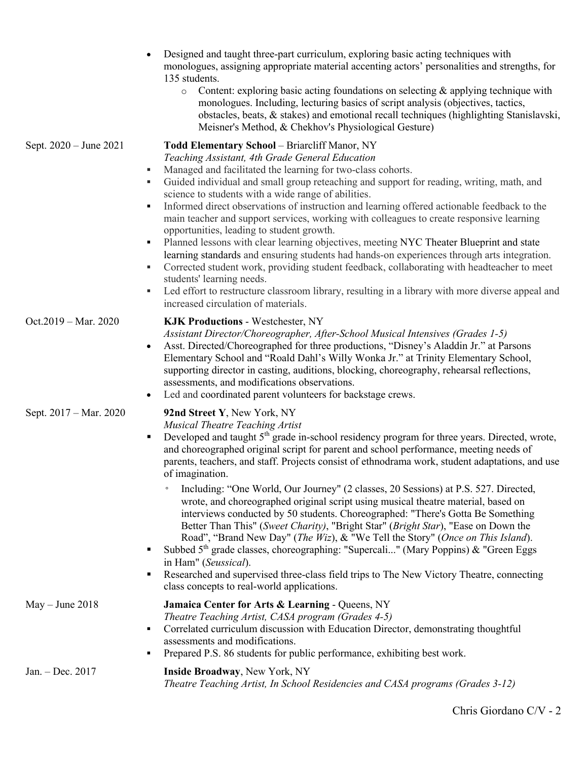|                        | Designed and taught three-part curriculum, exploring basic acting techniques with<br>monologues, assigning appropriate material accenting actors' personalities and strengths, for<br>135 students.<br>Content: exploring basic acting foundations on selecting $\&$ applying technique with<br>$\circ$<br>monologues. Including, lecturing basics of script analysis (objectives, tactics,<br>obstacles, beats, & stakes) and emotional recall techniques (highlighting Stanislavski,<br>Meisner's Method, & Chekhov's Physiological Gesture)                                                                                                                                                                                                                                                                                                                                                                                                                                                                                                                                                                                                          |
|------------------------|---------------------------------------------------------------------------------------------------------------------------------------------------------------------------------------------------------------------------------------------------------------------------------------------------------------------------------------------------------------------------------------------------------------------------------------------------------------------------------------------------------------------------------------------------------------------------------------------------------------------------------------------------------------------------------------------------------------------------------------------------------------------------------------------------------------------------------------------------------------------------------------------------------------------------------------------------------------------------------------------------------------------------------------------------------------------------------------------------------------------------------------------------------|
| Sept. 2020 - June 2021 | Todd Elementary School - Briarcliff Manor, NY<br>Teaching Assistant, 4th Grade General Education<br>Managed and facilitated the learning for two-class cohorts.<br>٠<br>Guided individual and small group reteaching and support for reading, writing, math, and<br>٠<br>science to students with a wide range of abilities.<br>Informed direct observations of instruction and learning offered actionable feedback to the<br>$\blacksquare$<br>main teacher and support services, working with colleagues to create responsive learning<br>opportunities, leading to student growth.<br>Planned lessons with clear learning objectives, meeting NYC Theater Blueprint and state<br>$\blacksquare$<br>learning standards and ensuring students had hands-on experiences through arts integration.<br>Corrected student work, providing student feedback, collaborating with headteacher to meet<br>٠<br>students' learning needs.<br>Led effort to restructure classroom library, resulting in a library with more diverse appeal and<br>٠<br>increased circulation of materials.                                                                      |
| Oct.2019 - Mar. 2020   | <b>KJK Productions - Westchester, NY</b><br>Assistant Director/Choreographer, After-School Musical Intensives (Grades 1-5)<br>Asst. Directed/Choreographed for three productions, "Disney's Aladdin Jr." at Parsons<br>$\bullet$<br>Elementary School and "Roald Dahl's Willy Wonka Jr." at Trinity Elementary School,<br>supporting director in casting, auditions, blocking, choreography, rehearsal reflections,<br>assessments, and modifications observations.<br>Led and coordinated parent volunteers for backstage crews.<br>$\bullet$                                                                                                                                                                                                                                                                                                                                                                                                                                                                                                                                                                                                          |
| Sept. 2017 – Mar. 2020 | 92nd Street Y, New York, NY<br>Musical Theatre Teaching Artist<br>Developed and taught 5 <sup>th</sup> grade in-school residency program for three years. Directed, wrote,<br>$\blacksquare$<br>and choreographed original script for parent and school performance, meeting needs of<br>parents, teachers, and staff. Projects consist of ethnodrama work, student adaptations, and use<br>of imagination.<br>Including: "One World, Our Journey" (2 classes, 20 Sessions) at P.S. 527. Directed,<br>$\circ$<br>wrote, and choreographed original script using musical theatre material, based on<br>interviews conducted by 50 students. Choreographed: "There's Gotta Be Something<br>Better Than This" (Sweet Charity), "Bright Star" (Bright Star), "Ease on Down the<br>Road", "Brand New Day" (The Wiz), & "We Tell the Story" (Once on This Island).<br>Subbed 5 <sup>th</sup> grade classes, choreographing: "Supercali" (Mary Poppins) & "Green Eggs<br>$\blacksquare$<br>in Ham" (Seussical).<br>Researched and supervised three-class field trips to The New Victory Theatre, connecting<br>п<br>class concepts to real-world applications. |
| $May - June 2018$      | Jamaica Center for Arts & Learning - Queens, NY<br>Theatre Teaching Artist, CASA program (Grades 4-5)<br>Correlated curriculum discussion with Education Director, demonstrating thoughtful<br>$\blacksquare$<br>assessments and modifications.<br>Prepared P.S. 86 students for public performance, exhibiting best work.<br>٠                                                                                                                                                                                                                                                                                                                                                                                                                                                                                                                                                                                                                                                                                                                                                                                                                         |
| Jan. - Dec. 2017       | Inside Broadway, New York, NY<br>Theatre Teaching Artist, In School Residencies and CASA programs (Grades 3-12)                                                                                                                                                                                                                                                                                                                                                                                                                                                                                                                                                                                                                                                                                                                                                                                                                                                                                                                                                                                                                                         |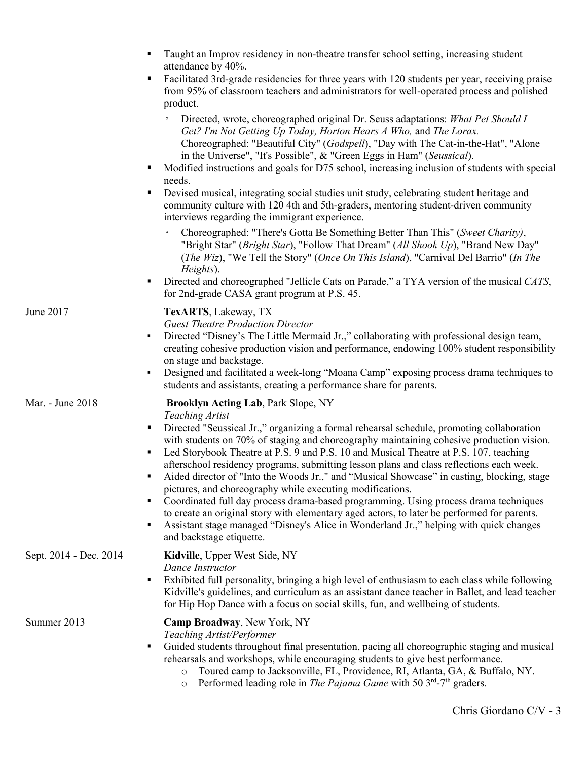|                        | Taught an Improv residency in non-theatre transfer school setting, increasing student<br>٠<br>attendance by 40%.                                                                                                                                                                                                                                                                                                                                                                                                                                                                                                                                                                                                                                                                                                                                                                                                                                    |
|------------------------|-----------------------------------------------------------------------------------------------------------------------------------------------------------------------------------------------------------------------------------------------------------------------------------------------------------------------------------------------------------------------------------------------------------------------------------------------------------------------------------------------------------------------------------------------------------------------------------------------------------------------------------------------------------------------------------------------------------------------------------------------------------------------------------------------------------------------------------------------------------------------------------------------------------------------------------------------------|
|                        | Facilitated 3rd-grade residencies for three years with 120 students per year, receiving praise<br>п<br>from 95% of classroom teachers and administrators for well-operated process and polished<br>product.                                                                                                                                                                                                                                                                                                                                                                                                                                                                                                                                                                                                                                                                                                                                         |
|                        | Directed, wrote, choreographed original Dr. Seuss adaptations: What Pet Should I<br>$\circ$<br>Get? I'm Not Getting Up Today, Horton Hears A Who, and The Lorax.<br>Choreographed: "Beautiful City" (Godspell), "Day with The Cat-in-the-Hat", "Alone<br>in the Universe", "It's Possible", & "Green Eggs in Ham" (Seussical).<br>Modified instructions and goals for D75 school, increasing inclusion of students with special<br>needs.<br>Devised musical, integrating social studies unit study, celebrating student heritage and<br>п<br>community culture with 120 4th and 5th-graders, mentoring student-driven community                                                                                                                                                                                                                                                                                                                    |
|                        | interviews regarding the immigrant experience.<br>Choreographed: "There's Gotta Be Something Better Than This" (Sweet Charity),<br>$\circ$<br>"Bright Star" (Bright Star), "Follow That Dream" (All Shook Up), "Brand New Day"                                                                                                                                                                                                                                                                                                                                                                                                                                                                                                                                                                                                                                                                                                                      |
|                        | (The Wiz), "We Tell the Story" (Once On This Island), "Carnival Del Barrio" (In The<br>Heights).<br>Directed and choreographed "Jellicle Cats on Parade," a TYA version of the musical CATS,<br>$\blacksquare$<br>for 2nd-grade CASA grant program at P.S. 45.                                                                                                                                                                                                                                                                                                                                                                                                                                                                                                                                                                                                                                                                                      |
| June 2017              | TexARTS, Lakeway, TX<br><b>Guest Theatre Production Director</b><br>Directed "Disney's The Little Mermaid Jr.," collaborating with professional design team,<br>٠<br>creating cohesive production vision and performance, endowing 100% student responsibility<br>on stage and backstage.<br>Designed and facilitated a week-long "Moana Camp" exposing process drama techniques to<br>$\blacksquare$<br>students and assistants, creating a performance share for parents.                                                                                                                                                                                                                                                                                                                                                                                                                                                                         |
| Mar. - June 2018       | <b>Brooklyn Acting Lab, Park Slope, NY</b><br><b>Teaching Artist</b><br>Directed "Seussical Jr.," organizing a formal rehearsal schedule, promoting collaboration<br>ш<br>with students on 70% of staging and choreography maintaining cohesive production vision.<br>Led Storybook Theatre at P.S. 9 and P.S. 10 and Musical Theatre at P.S. 107, teaching<br>٠<br>afterschool residency programs, submitting lesson plans and class reflections each week.<br>Aided director of "Into the Woods Jr.," and "Musical Showcase" in casting, blocking, stage<br>п<br>pictures, and choreography while executing modifications.<br>Coordinated full day process drama-based programming. Using process drama techniques<br>٠<br>to create an original story with elementary aged actors, to later be performed for parents.<br>Assistant stage managed "Disney's Alice in Wonderland Jr.," helping with quick changes<br>٠<br>and backstage etiquette. |
| Sept. 2014 - Dec. 2014 | Kidville, Upper West Side, NY<br>Dance Instructor<br>Exhibited full personality, bringing a high level of enthusiasm to each class while following<br>٠<br>Kidville's guidelines, and curriculum as an assistant dance teacher in Ballet, and lead teacher<br>for Hip Hop Dance with a focus on social skills, fun, and wellbeing of students.                                                                                                                                                                                                                                                                                                                                                                                                                                                                                                                                                                                                      |
| Summer 2013            | Camp Broadway, New York, NY<br>Teaching Artist/Performer<br>Guided students throughout final presentation, pacing all choreographic staging and musical<br>п<br>rehearsals and workshops, while encouraging students to give best performance.<br>Toured camp to Jacksonville, FL, Providence, RI, Atlanta, GA, & Buffalo, NY.<br>$\circ$<br>Performed leading role in The Pajama Game with 50 $3rd$ -7 <sup>th</sup> graders.<br>$\circ$                                                                                                                                                                                                                                                                                                                                                                                                                                                                                                           |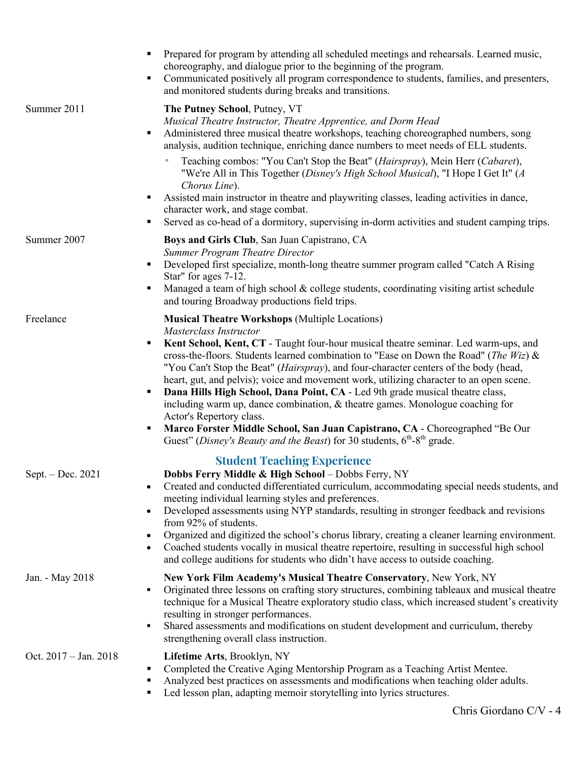|                       | Prepared for program by attending all scheduled meetings and rehearsals. Learned music,<br>choreography, and dialogue prior to the beginning of the program.<br>Communicated positively all program correspondence to students, families, and presenters,<br>٠<br>and monitored students during breaks and transitions.                                                                                       |
|-----------------------|---------------------------------------------------------------------------------------------------------------------------------------------------------------------------------------------------------------------------------------------------------------------------------------------------------------------------------------------------------------------------------------------------------------|
| Summer 2011           | The Putney School, Putney, VT<br>Musical Theatre Instructor, Theatre Apprentice, and Dorm Head<br>Administered three musical theatre workshops, teaching choreographed numbers, song<br>٠<br>analysis, audition technique, enriching dance numbers to meet needs of ELL students.                                                                                                                             |
|                       | Teaching combos: "You Can't Stop the Beat" (Hairspray), Mein Herr (Cabaret),<br>$\circ$<br>"We're All in This Together (Disney's High School Musical), "I Hope I Get It" (A<br>Chorus Line).                                                                                                                                                                                                                  |
|                       | Assisted main instructor in theatre and playwriting classes, leading activities in dance,<br>٠<br>character work, and stage combat.<br>Served as co-head of a dormitory, supervising in-dorm activities and student camping trips.<br>٠                                                                                                                                                                       |
| Summer 2007           | Boys and Girls Club, San Juan Capistrano, CA<br><b>Summer Program Theatre Director</b>                                                                                                                                                                                                                                                                                                                        |
|                       | Developed first specialize, month-long theatre summer program called "Catch A Rising<br>$\blacksquare$<br>Star" for ages 7-12.<br>Managed a team of high school & college students, coordinating visiting artist schedule<br>п                                                                                                                                                                                |
|                       | and touring Broadway productions field trips.                                                                                                                                                                                                                                                                                                                                                                 |
| Freelance             | <b>Musical Theatre Workshops (Multiple Locations)</b><br>Masterclass Instructor<br>Kent School, Kent, CT - Taught four-hour musical theatre seminar. Led warm-ups, and<br>٠<br>cross-the-floors. Students learned combination to "Ease on Down the Road" (The Wiz) &                                                                                                                                          |
|                       | "You Can't Stop the Beat" (Hairspray), and four-character centers of the body (head,<br>heart, gut, and pelvis); voice and movement work, utilizing character to an open scene.<br>Dana Hills High School, Dana Point, CA - Led 9th grade musical theatre class,<br>$\blacksquare$<br>including warm up, dance combination, & theatre games. Monologue coaching for<br>Actor's Repertory class.               |
|                       | Marco Forster Middle School, San Juan Capistrano, CA - Choreographed "Be Our<br>п<br>Guest" (Disney's Beauty and the Beast) for 30 students, $6^{th}$ - $8^{th}$ grade.                                                                                                                                                                                                                                       |
| Sept. $-$ Dec. 2021   | <b>Student Teaching Experience</b><br>Dobbs Ferry Middle & High School - Dobbs Ferry, NY<br>Created and conducted differentiated curriculum, accommodating special needs students, and<br>meeting individual learning styles and preferences.<br>Developed assessments using NYP standards, resulting in stronger feedback and revisions<br>$\bullet$<br>from 92% of students.                                |
|                       | Organized and digitized the school's chorus library, creating a cleaner learning environment.<br>$\bullet$<br>Coached students vocally in musical theatre repertoire, resulting in successful high school<br>$\bullet$<br>and college auditions for students who didn't have access to outside coaching.                                                                                                      |
| Jan. - May 2018       | New York Film Academy's Musical Theatre Conservatory, New York, NY<br>Originated three lessons on crafting story structures, combining tableaux and musical theatre<br>٠<br>technique for a Musical Theatre exploratory studio class, which increased student's creativity<br>resulting in stronger performances.<br>Shared assessments and modifications on student development and curriculum, thereby<br>٠ |
| Oct. 2017 - Jan. 2018 | strengthening overall class instruction.<br>Lifetime Arts, Brooklyn, NY<br>Completed the Creative Aging Mentorship Program as a Teaching Artist Mentee.<br>٠<br>Analyzed best practices on assessments and modifications when teaching older adults.<br>٠<br>Led lesson plan, adapting memoir storytelling into lyrics structures.                                                                            |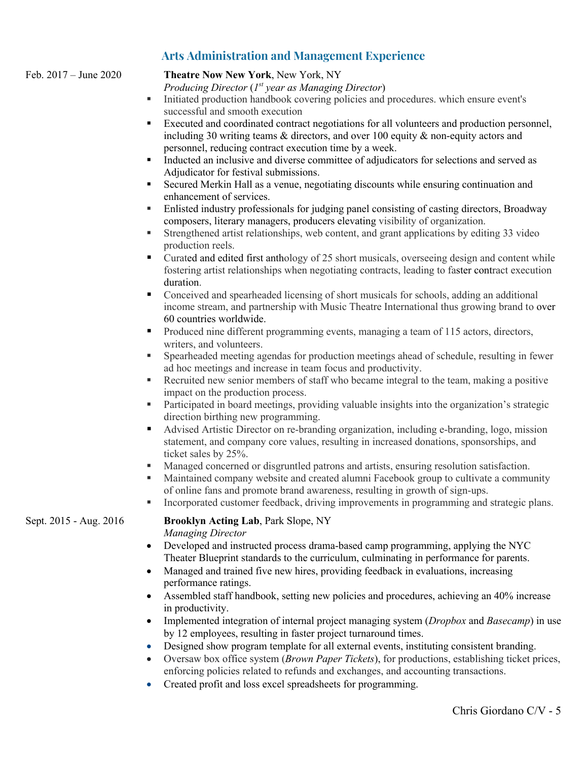# **Arts Administration and Management Experience**

Feb. 2017 – June 2020 **Theatre Now New York**, New York, NY

*Producing Director* (*1st year as Managing Director*)

- Initiated production handbook covering policies and procedures. which ensure event's successful and smooth execution
- Executed and coordinated contract negotiations for all volunteers and production personnel, including 30 writing teams & directors, and over 100 equity & non-equity actors and personnel, reducing contract execution time by a week.
- § Inducted an inclusive and diverse committee of adjudicators for selections and served as Adjudicator for festival submissions.
- § Secured Merkin Hall as a venue, negotiating discounts while ensuring continuation and enhancement of services.
- Enlisted industry professionals for judging panel consisting of casting directors, Broadway composers, literary managers, producers elevating visibility of organization.
- § Strengthened artist relationships, web content, and grant applications by editing 33 video production reels.
- Curated and edited first anthology of 25 short musicals, overseeing design and content while fostering artist relationships when negotiating contracts, leading to faster contract execution duration.
- § Conceived and spearheaded licensing of short musicals for schools, adding an additional income stream, and partnership with Music Theatre International thus growing brand to over 60 countries worldwide.
- Produced nine different programming events, managing a team of 115 actors, directors, writers, and volunteers.
- § Spearheaded meeting agendas for production meetings ahead of schedule, resulting in fewer ad hoc meetings and increase in team focus and productivity.
- Recruited new senior members of staff who became integral to the team, making a positive impact on the production process.
- Participated in board meetings, providing valuable insights into the organization's strategic direction birthing new programming.
- § Advised Artistic Director on re-branding organization, including e-branding, logo, mission statement, and company core values, resulting in increased donations, sponsorships, and ticket sales by 25%.
- § Managed concerned or disgruntled patrons and artists, ensuring resolution satisfaction.
- § Maintained company website and created alumni Facebook group to cultivate a community of online fans and promote brand awareness, resulting in growth of sign-ups.
- Incorporated customer feedback, driving improvements in programming and strategic plans.

#### Sept. 2015 - Aug. 2016 **Brooklyn Acting Lab**, Park Slope, NY *Managing Director*

- Developed and instructed process drama-based camp programming, applying the NYC Theater Blueprint standards to the curriculum, culminating in performance for parents.
- Managed and trained five new hires, providing feedback in evaluations, increasing performance ratings.
- Assembled staff handbook, setting new policies and procedures, achieving an 40% increase in productivity.
- Implemented integration of internal project managing system (*Dropbox* and *Basecamp*) in use by 12 employees, resulting in faster project turnaround times.
- Designed show program template for all external events, instituting consistent branding.
- Oversaw box office system (*Brown Paper Tickets*), for productions, establishing ticket prices, enforcing policies related to refunds and exchanges, and accounting transactions.
- Created profit and loss excel spreadsheets for programming.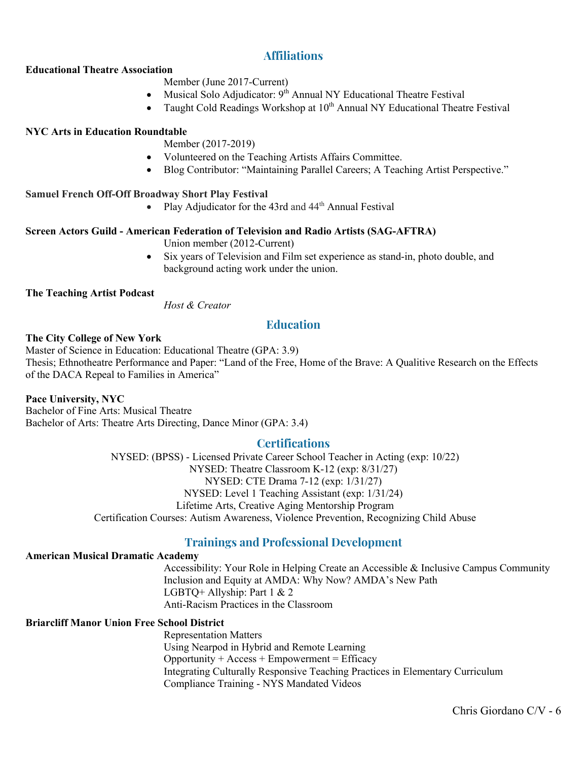# **Affiliations**

#### **Educational Theatre Association**

## Member (June 2017-Current)

- Musical Solo Adjudicator: 9<sup>th</sup> Annual NY Educational Theatre Festival
- Taught Cold Readings Workshop at  $10^{th}$  Annual NY Educational Theatre Festival

#### **NYC Arts in Education Roundtable**

Member (2017-2019)

- Volunteered on the Teaching Artists Affairs Committee.
- Blog Contributor: "Maintaining Parallel Careers; A Teaching Artist Perspective."

#### **Samuel French Off-Off Broadway Short Play Festival**

• Play Adjudicator for the 43rd and  $44<sup>th</sup>$  Annual Festival

#### **Screen Actors Guild - American Federation of Television and Radio Artists (SAG-AFTRA)**

Union member (2012-Current)

• Six years of Television and Film set experience as stand-in, photo double, and background acting work under the union.

#### **The Teaching Artist Podcast**

*Host & Creator*

## **Education**

#### **The City College of New York**

Master of Science in Education: Educational Theatre (GPA: 3.9) Thesis; Ethnotheatre Performance and Paper: "Land of the Free, Home of the Brave: A Qualitive Research on the Effects of the DACA Repeal to Families in America"

#### **Pace University, NYC**

Bachelor of Fine Arts: Musical Theatre Bachelor of Arts: Theatre Arts Directing, Dance Minor (GPA: 3.4)

### **Certifications**

NYSED: (BPSS) - Licensed Private Career School Teacher in Acting (exp: 10/22) NYSED: Theatre Classroom K-12 (exp: 8/31/27) NYSED: CTE Drama 7-12 (exp: 1/31/27) NYSED: Level 1 Teaching Assistant (exp: 1/31/24) Lifetime Arts, Creative Aging Mentorship Program Certification Courses: Autism Awareness, Violence Prevention, Recognizing Child Abuse

## **Trainings and Professional Development**

## **American Musical Dramatic Academy**

Accessibility: Your Role in Helping Create an Accessible & Inclusive Campus Community Inclusion and Equity at AMDA: Why Now? AMDA's New Path LGBTQ+ Allyship: Part 1 & 2 Anti-Racism Practices in the Classroom

## **Briarcliff Manor Union Free School District**

Representation Matters Using Nearpod in Hybrid and Remote Learning  $Opportunity + Access + Empowerment = Efficacy$ Integrating Culturally Responsive Teaching Practices in Elementary Curriculum Compliance Training - NYS Mandated Videos